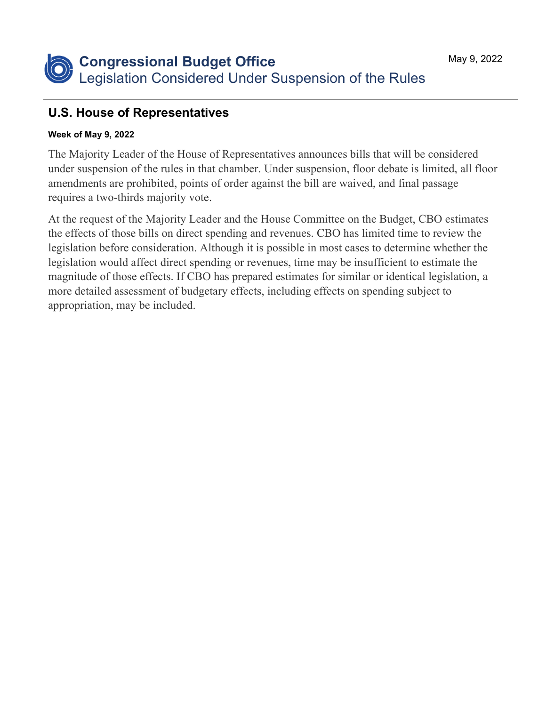## **U.S. House of Representatives**

## **Week of May 9, 2022**

The Majority Leader of the House of Representatives announces bills that will be considered under suspension of the rules in that chamber. Under suspension, floor debate is limited, all floor amendments are prohibited, points of order against the bill are waived, and final passage requires a two-thirds majority vote.

At the request of the Majority Leader and the House Committee on the Budget, CBO estimates the effects of those bills on direct spending and revenues. CBO has limited time to review the legislation before consideration. Although it is possible in most cases to determine whether the legislation would affect direct spending or revenues, time may be insufficient to estimate the magnitude of those effects. If CBO has prepared estimates for similar or identical legislation, a more detailed assessment of budgetary effects, including effects on spending subject to appropriation, may be included.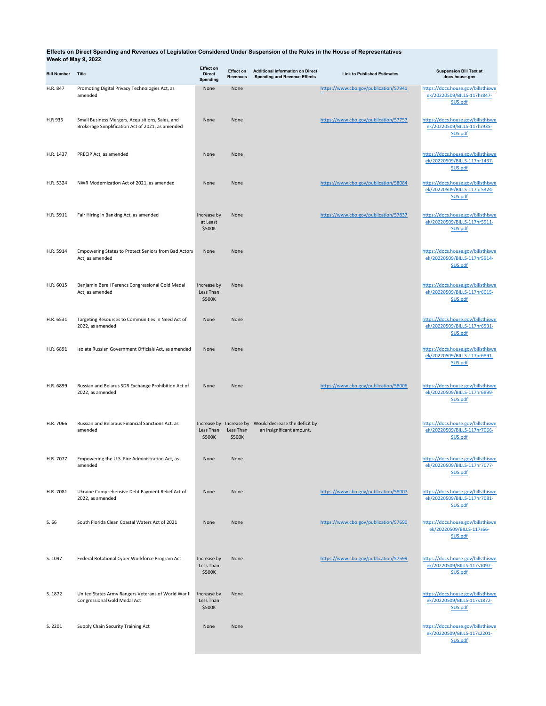## **Effects on Direct Spending and Revenues of Legislation Considered Under Suspension of the Rules in the House of Representatives Week of May 9, 2022**

| <b>Bill Number</b> | Title                                                                                                | <b>Effect on</b><br><b>Direct</b><br>Spending | <b>Effect on</b><br><b>Revenues</b> | <b>Additional Information on Direct</b><br><b>Spending and Revenue Effects</b>    | <b>Link to Published Estimates</b>    | <b>Suspension Bill Text at</b><br>docs.house.gov                              |
|--------------------|------------------------------------------------------------------------------------------------------|-----------------------------------------------|-------------------------------------|-----------------------------------------------------------------------------------|---------------------------------------|-------------------------------------------------------------------------------|
| H.R. 847           | Promoting Digital Privacy Technologies Act, as<br>amended                                            | None                                          | None                                |                                                                                   | https://www.cbo.gov/publication/57941 | https://docs.house.gov/billsthiswe<br>ek/20220509/BILLS-117hr847-<br>SUS.pdf  |
| H.R 935            | Small Business Mergers, Acquisitions, Sales, and<br>Brokerage Simplification Act of 2021, as amended | None                                          | None                                |                                                                                   | https://www.cbo.gov/publication/57757 | https://docs.house.gov/billsthiswe<br>ek/20220509/BILLS-117hr935-<br>SUS.pdf  |
| H.R. 1437          | PRECIP Act, as amended                                                                               | None                                          | None                                |                                                                                   |                                       | https://docs.house.gov/billsthiswe<br>ek/20220509/BILLS-117hr1437-<br>SUS.pdf |
| H.R. 5324          | NWR Modernization Act of 2021, as amended                                                            | None                                          | None                                |                                                                                   | https://www.cbo.gov/publication/58084 | https://docs.house.gov/billsthiswe<br>ek/20220509/BILLS-117hr5324-<br>SUS.pdf |
| H.R. 5911          | Fair Hiring in Banking Act, as amended                                                               | Increase by<br>at Least<br>\$500K             | None                                |                                                                                   | https://www.cbo.gov/publication/57837 | https://docs.house.gov/billsthiswe<br>ek/20220509/BILLS-117hr5911-<br>SUS.pdf |
| H.R. 5914          | Empowering States to Protect Seniors from Bad Actors<br>Act, as amended                              | None                                          | None                                |                                                                                   |                                       | https://docs.house.gov/billsthiswe<br>ek/20220509/BILLS-117hr5914-<br>SUS.pdf |
| H.R. 6015          | Benjamin Berell Ferencz Congressional Gold Medal<br>Act, as amended                                  | Increase by<br>Less Than<br>\$500K            | None                                |                                                                                   |                                       | https://docs.house.gov/billsthiswe<br>ek/20220509/BILLS-117hr6015-<br>SUS.pdf |
| H.R. 6531          | Targeting Resources to Communities in Need Act of<br>2022, as amended                                | None                                          | None                                |                                                                                   |                                       | https://docs.house.gov/billsthiswe<br>ek/20220509/BILLS-117hr6531-<br>SUS.pdf |
| H.R. 6891          | Isolate Russian Government Officials Act, as amended                                                 | None                                          | None                                |                                                                                   |                                       | https://docs.house.gov/billsthiswe<br>ek/20220509/BILLS-117hr6891-<br>SUS.pdf |
| H.R. 6899          | Russian and Belarus SDR Exchange Prohibition Act of<br>2022, as amended                              | None                                          | None                                |                                                                                   | https://www.cbo.gov/publication/58006 | https://docs.house.gov/billsthiswe<br>ek/20220509/BILLS-117hr6899-<br>SUS.pdf |
| H.R. 7066          | Russian and Belaraus Financial Sanctions Act, as<br>amended                                          | Less Than<br>\$500K                           | Less Than<br>\$500K                 | Increase by Increase by Would decrease the deficit by<br>an insignificant amount. |                                       | https://docs.house.gov/billsthiswe<br>ek/20220509/BILLS-117hr7066-<br>SUS.pdf |
| H.R. 7077          | Empowering the U.S. Fire Administration Act, as<br>amended                                           | None                                          | None                                |                                                                                   |                                       | https://docs.house.gov/billsthiswe<br>ek/20220509/BILLS-117hr7077-<br>SUS.pdf |
| H.R. 7081          | Ukraine Comprehensive Debt Payment Relief Act of<br>2022, as amended                                 | None                                          | None                                |                                                                                   | https://www.cbo.gov/publication/58007 | https://docs.house.gov/billsthiswe<br>ek/20220509/BILLS-117hr7081-<br>SUS.pdf |
| S. 66              | South Florida Clean Coastal Waters Act of 2021                                                       | None                                          | None                                |                                                                                   | https://www.cbo.gov/publication/57690 | https://docs.house.gov/billsthiswe<br>ek/20220509/BILLS-117s66-<br>SUS.pdf    |
| S. 1097            | Federal Rotational Cyber Workforce Program Act                                                       | Increase by<br>Less Than<br>\$500K            | None                                |                                                                                   | https://www.cbo.gov/publication/57599 | https://docs.house.gov/billsthiswe<br>ek/20220509/BILLS-117s1097-<br>SUS.pdf  |
| S. 1872            | United States Army Rangers Veterans of World War II<br>Congressional Gold Medal Act                  | Increase by<br>Less Than<br>\$500K            | None                                |                                                                                   |                                       | https://docs.house.gov/billsthiswe<br>ek/20220509/BILLS-117s1872-<br>SUS.pdf  |
| S. 2201            | Supply Chain Security Training Act                                                                   | None                                          | None                                |                                                                                   |                                       | https://docs.house.gov/billsthiswe<br>ek/20220509/BILLS-117s2201-<br>SUS.pdf  |